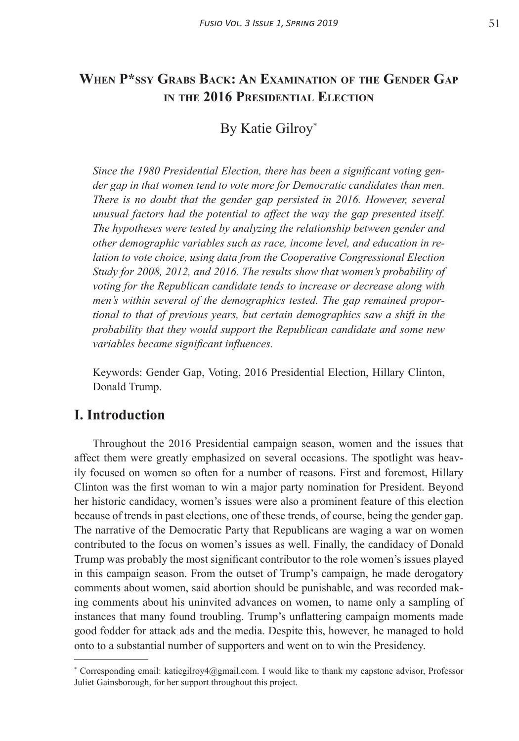# **When P\*ssy Grabs Back: An Examination of the Gender Gap in the 2016 Presidential Election**

# By Katie Gilroy\*

*Since the 1980 Presidential Election, there has been a significant voting gender gap in that women tend to vote more for Democratic candidates than men. There is no doubt that the gender gap persisted in 2016. However, several unusual factors had the potential to affect the way the gap presented itself. The hypotheses were tested by analyzing the relationship between gender and other demographic variables such as race, income level, and education in relation to vote choice, using data from the Cooperative Congressional Election Study for 2008, 2012, and 2016. The results show that women's probability of voting for the Republican candidate tends to increase or decrease along with men's within several of the demographics tested. The gap remained proportional to that of previous years, but certain demographics saw a shift in the probability that they would support the Republican candidate and some new variables became significant influences.*

Keywords: Gender Gap, Voting, 2016 Presidential Election, Hillary Clinton, Donald Trump.

## **I. Introduction**

Throughout the 2016 Presidential campaign season, women and the issues that affect them were greatly emphasized on several occasions. The spotlight was heavily focused on women so often for a number of reasons. First and foremost, Hillary Clinton was the first woman to win a major party nomination for President. Beyond her historic candidacy, women's issues were also a prominent feature of this election because of trends in past elections, one of these trends, of course, being the gender gap. The narrative of the Democratic Party that Republicans are waging a war on women contributed to the focus on women's issues as well. Finally, the candidacy of Donald Trump was probably the most significant contributor to the role women's issues played in this campaign season. From the outset of Trump's campaign, he made derogatory comments about women, said abortion should be punishable, and was recorded making comments about his uninvited advances on women, to name only a sampling of instances that many found troubling. Trump's unflattering campaign moments made good fodder for attack ads and the media. Despite this, however, he managed to hold onto to a substantial number of supporters and went on to win the Presidency.

<sup>\*</sup> Corresponding email: katiegilroy4@gmail.com. I would like to thank my capstone advisor, Professor Juliet Gainsborough, for her support throughout this project.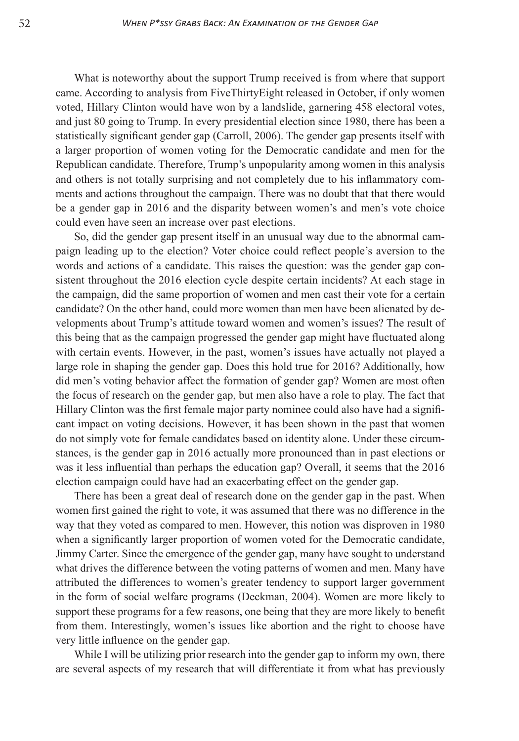What is noteworthy about the support Trump received is from where that support came. According to analysis from FiveThirtyEight released in October, if only women voted, Hillary Clinton would have won by a landslide, garnering 458 electoral votes, and just 80 going to Trump. In every presidential election since 1980, there has been a statistically significant gender gap (Carroll, 2006). The gender gap presents itself with a larger proportion of women voting for the Democratic candidate and men for the Republican candidate. Therefore, Trump's unpopularity among women in this analysis and others is not totally surprising and not completely due to his inflammatory comments and actions throughout the campaign. There was no doubt that that there would be a gender gap in 2016 and the disparity between women's and men's vote choice could even have seen an increase over past elections.

So, did the gender gap present itself in an unusual way due to the abnormal campaign leading up to the election? Voter choice could reflect people's aversion to the words and actions of a candidate. This raises the question: was the gender gap consistent throughout the 2016 election cycle despite certain incidents? At each stage in the campaign, did the same proportion of women and men cast their vote for a certain candidate? On the other hand, could more women than men have been alienated by developments about Trump's attitude toward women and women's issues? The result of this being that as the campaign progressed the gender gap might have fluctuated along with certain events. However, in the past, women's issues have actually not played a large role in shaping the gender gap. Does this hold true for 2016? Additionally, how did men's voting behavior affect the formation of gender gap? Women are most often the focus of research on the gender gap, but men also have a role to play. The fact that Hillary Clinton was the first female major party nominee could also have had a significant impact on voting decisions. However, it has been shown in the past that women do not simply vote for female candidates based on identity alone. Under these circumstances, is the gender gap in 2016 actually more pronounced than in past elections or was it less influential than perhaps the education gap? Overall, it seems that the 2016 election campaign could have had an exacerbating effect on the gender gap.

There has been a great deal of research done on the gender gap in the past. When women first gained the right to vote, it was assumed that there was no difference in the way that they voted as compared to men. However, this notion was disproven in 1980 when a significantly larger proportion of women voted for the Democratic candidate, Jimmy Carter. Since the emergence of the gender gap, many have sought to understand what drives the difference between the voting patterns of women and men. Many have attributed the differences to women's greater tendency to support larger government in the form of social welfare programs (Deckman, 2004). Women are more likely to support these programs for a few reasons, one being that they are more likely to benefit from them. Interestingly, women's issues like abortion and the right to choose have very little influence on the gender gap.

While I will be utilizing prior research into the gender gap to inform my own, there are several aspects of my research that will differentiate it from what has previously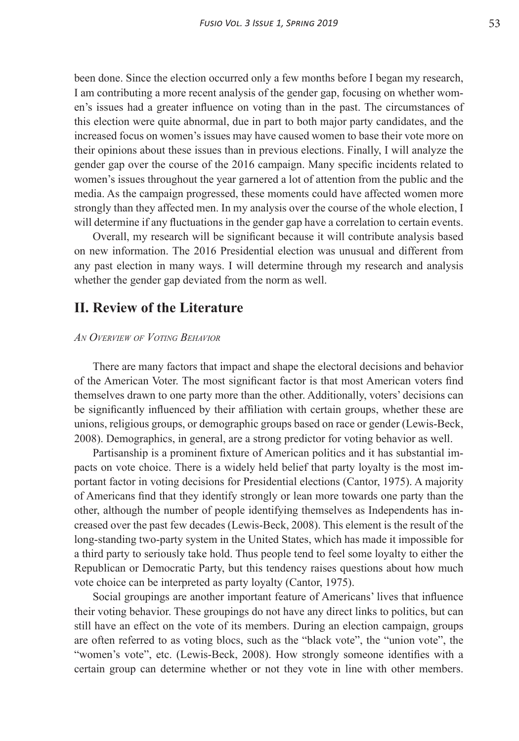been done. Since the election occurred only a few months before I began my research, I am contributing a more recent analysis of the gender gap, focusing on whether women's issues had a greater influence on voting than in the past. The circumstances of this election were quite abnormal, due in part to both major party candidates, and the increased focus on women's issues may have caused women to base their vote more on their opinions about these issues than in previous elections. Finally, I will analyze the gender gap over the course of the 2016 campaign. Many specific incidents related to women's issues throughout the year garnered a lot of attention from the public and the media. As the campaign progressed, these moments could have affected women more strongly than they affected men. In my analysis over the course of the whole election, I will determine if any fluctuations in the gender gap have a correlation to certain events.

Overall, my research will be significant because it will contribute analysis based on new information. The 2016 Presidential election was unusual and different from any past election in many ways. I will determine through my research and analysis whether the gender gap deviated from the norm as well.

## **II. Review of the Literature**

#### *An Overview of Voting Behavior*

There are many factors that impact and shape the electoral decisions and behavior of the American Voter. The most significant factor is that most American voters find themselves drawn to one party more than the other. Additionally, voters' decisions can be significantly influenced by their affiliation with certain groups, whether these are unions, religious groups, or demographic groups based on race or gender (Lewis-Beck, 2008). Demographics, in general, are a strong predictor for voting behavior as well.

Partisanship is a prominent fixture of American politics and it has substantial impacts on vote choice. There is a widely held belief that party loyalty is the most important factor in voting decisions for Presidential elections (Cantor, 1975). A majority of Americans find that they identify strongly or lean more towards one party than the other, although the number of people identifying themselves as Independents has increased over the past few decades (Lewis-Beck, 2008). This element is the result of the long-standing two-party system in the United States, which has made it impossible for a third party to seriously take hold. Thus people tend to feel some loyalty to either the Republican or Democratic Party, but this tendency raises questions about how much vote choice can be interpreted as party loyalty (Cantor, 1975).

Social groupings are another important feature of Americans' lives that influence their voting behavior. These groupings do not have any direct links to politics, but can still have an effect on the vote of its members. During an election campaign, groups are often referred to as voting blocs, such as the "black vote", the "union vote", the "women's vote", etc. (Lewis-Beck, 2008). How strongly someone identifies with a certain group can determine whether or not they vote in line with other members.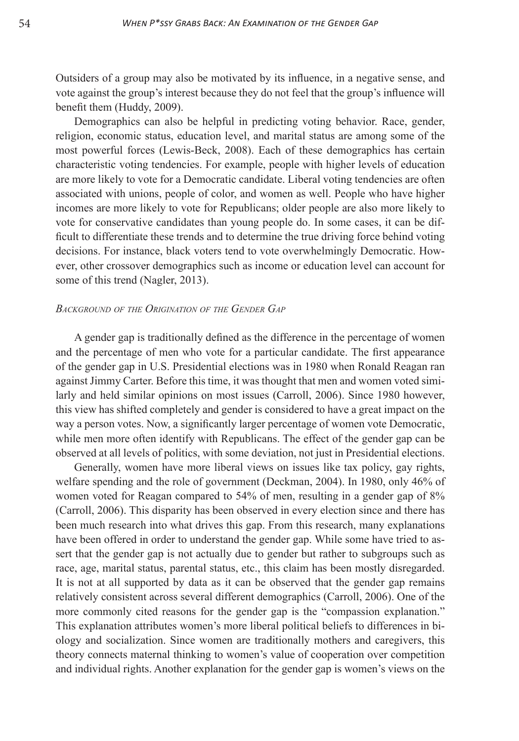Outsiders of a group may also be motivated by its influence, in a negative sense, and vote against the group's interest because they do not feel that the group's influence will benefit them (Huddy, 2009).

Demographics can also be helpful in predicting voting behavior. Race, gender, religion, economic status, education level, and marital status are among some of the most powerful forces (Lewis-Beck, 2008). Each of these demographics has certain characteristic voting tendencies. For example, people with higher levels of education are more likely to vote for a Democratic candidate. Liberal voting tendencies are often associated with unions, people of color, and women as well. People who have higher incomes are more likely to vote for Republicans; older people are also more likely to vote for conservative candidates than young people do. In some cases, it can be difficult to differentiate these trends and to determine the true driving force behind voting decisions. For instance, black voters tend to vote overwhelmingly Democratic. However, other crossover demographics such as income or education level can account for some of this trend (Nagler, 2013).

#### *Background of the Origination of the Gender Gap*

A gender gap is traditionally defined as the difference in the percentage of women and the percentage of men who vote for a particular candidate. The first appearance of the gender gap in U.S. Presidential elections was in 1980 when Ronald Reagan ran against Jimmy Carter. Before this time, it was thought that men and women voted similarly and held similar opinions on most issues (Carroll, 2006). Since 1980 however, this view has shifted completely and gender is considered to have a great impact on the way a person votes. Now, a significantly larger percentage of women vote Democratic, while men more often identify with Republicans. The effect of the gender gap can be observed at all levels of politics, with some deviation, not just in Presidential elections.

Generally, women have more liberal views on issues like tax policy, gay rights, welfare spending and the role of government (Deckman, 2004). In 1980, only 46% of women voted for Reagan compared to 54% of men, resulting in a gender gap of 8% (Carroll, 2006). This disparity has been observed in every election since and there has been much research into what drives this gap. From this research, many explanations have been offered in order to understand the gender gap. While some have tried to assert that the gender gap is not actually due to gender but rather to subgroups such as race, age, marital status, parental status, etc., this claim has been mostly disregarded. It is not at all supported by data as it can be observed that the gender gap remains relatively consistent across several different demographics (Carroll, 2006). One of the more commonly cited reasons for the gender gap is the "compassion explanation." This explanation attributes women's more liberal political beliefs to differences in biology and socialization. Since women are traditionally mothers and caregivers, this theory connects maternal thinking to women's value of cooperation over competition and individual rights. Another explanation for the gender gap is women's views on the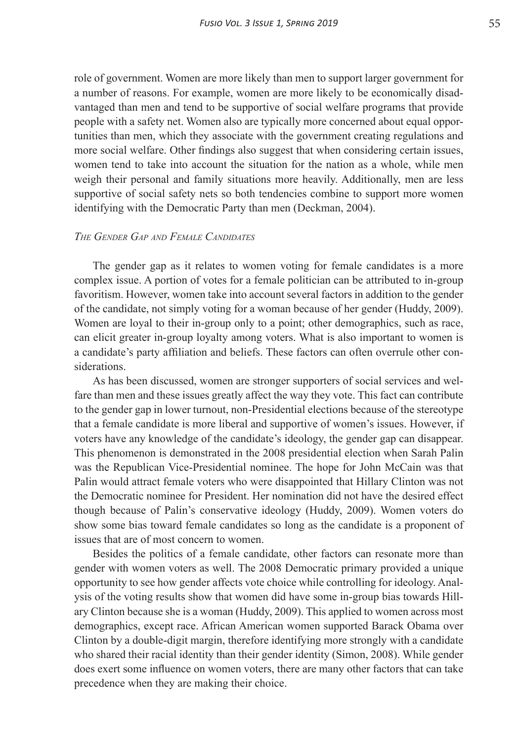role of government. Women are more likely than men to support larger government for a number of reasons. For example, women are more likely to be economically disadvantaged than men and tend to be supportive of social welfare programs that provide people with a safety net. Women also are typically more concerned about equal opportunities than men, which they associate with the government creating regulations and more social welfare. Other findings also suggest that when considering certain issues, women tend to take into account the situation for the nation as a whole, while men weigh their personal and family situations more heavily. Additionally, men are less supportive of social safety nets so both tendencies combine to support more women identifying with the Democratic Party than men (Deckman, 2004).

#### *The Gender Gap and Female Candidates*

The gender gap as it relates to women voting for female candidates is a more complex issue. A portion of votes for a female politician can be attributed to in-group favoritism. However, women take into account several factors in addition to the gender of the candidate, not simply voting for a woman because of her gender (Huddy, 2009). Women are loyal to their in-group only to a point; other demographics, such as race, can elicit greater in-group loyalty among voters. What is also important to women is a candidate's party affiliation and beliefs. These factors can often overrule other considerations.

As has been discussed, women are stronger supporters of social services and welfare than men and these issues greatly affect the way they vote. This fact can contribute to the gender gap in lower turnout, non-Presidential elections because of the stereotype that a female candidate is more liberal and supportive of women's issues. However, if voters have any knowledge of the candidate's ideology, the gender gap can disappear. This phenomenon is demonstrated in the 2008 presidential election when Sarah Palin was the Republican Vice-Presidential nominee. The hope for John McCain was that Palin would attract female voters who were disappointed that Hillary Clinton was not the Democratic nominee for President. Her nomination did not have the desired effect though because of Palin's conservative ideology (Huddy, 2009). Women voters do show some bias toward female candidates so long as the candidate is a proponent of issues that are of most concern to women.

Besides the politics of a female candidate, other factors can resonate more than gender with women voters as well. The 2008 Democratic primary provided a unique opportunity to see how gender affects vote choice while controlling for ideology. Analysis of the voting results show that women did have some in-group bias towards Hillary Clinton because she is a woman (Huddy, 2009). This applied to women across most demographics, except race. African American women supported Barack Obama over Clinton by a double-digit margin, therefore identifying more strongly with a candidate who shared their racial identity than their gender identity (Simon, 2008). While gender does exert some influence on women voters, there are many other factors that can take precedence when they are making their choice.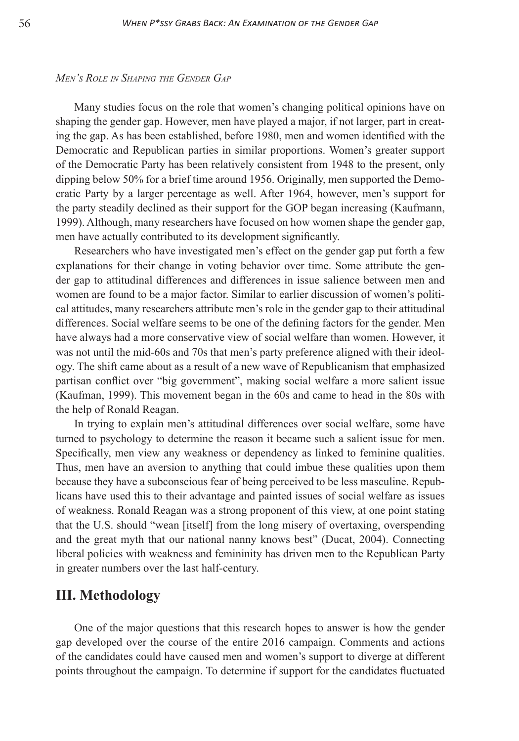#### *Men's Role in Shaping the Gender Gap*

Many studies focus on the role that women's changing political opinions have on shaping the gender gap. However, men have played a major, if not larger, part in creating the gap. As has been established, before 1980, men and women identified with the Democratic and Republican parties in similar proportions. Women's greater support of the Democratic Party has been relatively consistent from 1948 to the present, only dipping below 50% for a brief time around 1956. Originally, men supported the Democratic Party by a larger percentage as well. After 1964, however, men's support for the party steadily declined as their support for the GOP began increasing (Kaufmann, 1999). Although, many researchers have focused on how women shape the gender gap, men have actually contributed to its development significantly.

Researchers who have investigated men's effect on the gender gap put forth a few explanations for their change in voting behavior over time. Some attribute the gender gap to attitudinal differences and differences in issue salience between men and women are found to be a major factor. Similar to earlier discussion of women's political attitudes, many researchers attribute men's role in the gender gap to their attitudinal differences. Social welfare seems to be one of the defining factors for the gender. Men have always had a more conservative view of social welfare than women. However, it was not until the mid-60s and 70s that men's party preference aligned with their ideology. The shift came about as a result of a new wave of Republicanism that emphasized partisan conflict over "big government", making social welfare a more salient issue (Kaufman, 1999). This movement began in the 60s and came to head in the 80s with the help of Ronald Reagan.

In trying to explain men's attitudinal differences over social welfare, some have turned to psychology to determine the reason it became such a salient issue for men. Specifically, men view any weakness or dependency as linked to feminine qualities. Thus, men have an aversion to anything that could imbue these qualities upon them because they have a subconscious fear of being perceived to be less masculine. Republicans have used this to their advantage and painted issues of social welfare as issues of weakness. Ronald Reagan was a strong proponent of this view, at one point stating that the U.S. should "wean [itself] from the long misery of overtaxing, overspending and the great myth that our national nanny knows best" (Ducat, 2004). Connecting liberal policies with weakness and femininity has driven men to the Republican Party in greater numbers over the last half-century.

## **III. Methodology**

One of the major questions that this research hopes to answer is how the gender gap developed over the course of the entire 2016 campaign. Comments and actions of the candidates could have caused men and women's support to diverge at different points throughout the campaign. To determine if support for the candidates fluctuated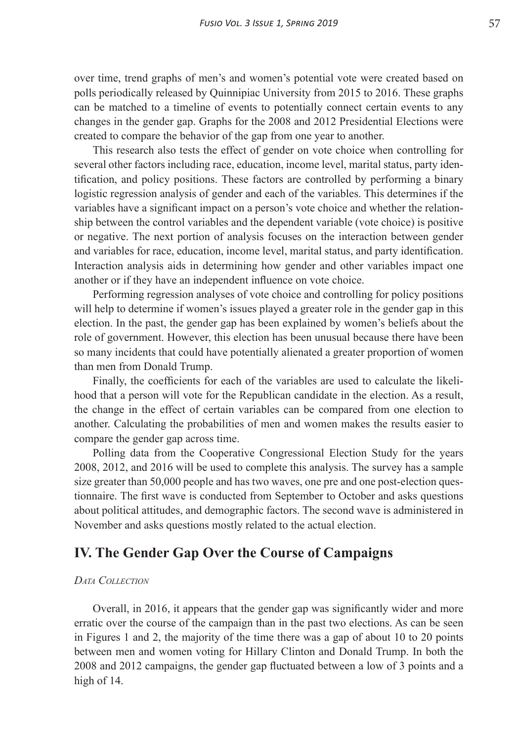over time, trend graphs of men's and women's potential vote were created based on polls periodically released by Quinnipiac University from 2015 to 2016. These graphs can be matched to a timeline of events to potentially connect certain events to any changes in the gender gap. Graphs for the 2008 and 2012 Presidential Elections were created to compare the behavior of the gap from one year to another.

This research also tests the effect of gender on vote choice when controlling for several other factors including race, education, income level, marital status, party identification, and policy positions. These factors are controlled by performing a binary logistic regression analysis of gender and each of the variables. This determines if the variables have a significant impact on a person's vote choice and whether the relationship between the control variables and the dependent variable (vote choice) is positive or negative. The next portion of analysis focuses on the interaction between gender and variables for race, education, income level, marital status, and party identification. Interaction analysis aids in determining how gender and other variables impact one another or if they have an independent influence on vote choice.

Performing regression analyses of vote choice and controlling for policy positions will help to determine if women's issues played a greater role in the gender gap in this election. In the past, the gender gap has been explained by women's beliefs about the role of government. However, this election has been unusual because there have been so many incidents that could have potentially alienated a greater proportion of women than men from Donald Trump.

Finally, the coefficients for each of the variables are used to calculate the likelihood that a person will vote for the Republican candidate in the election. As a result, the change in the effect of certain variables can be compared from one election to another. Calculating the probabilities of men and women makes the results easier to compare the gender gap across time.

Polling data from the Cooperative Congressional Election Study for the years 2008, 2012, and 2016 will be used to complete this analysis. The survey has a sample size greater than 50,000 people and has two waves, one pre and one post-election questionnaire. The first wave is conducted from September to October and asks questions about political attitudes, and demographic factors. The second wave is administered in November and asks questions mostly related to the actual election.

# **IV. The Gender Gap Over the Course of Campaigns**

#### *Data Collection*

Overall, in 2016, it appears that the gender gap was significantly wider and more erratic over the course of the campaign than in the past two elections. As can be seen in Figures 1 and 2, the majority of the time there was a gap of about 10 to 20 points between men and women voting for Hillary Clinton and Donald Trump. In both the 2008 and 2012 campaigns, the gender gap fluctuated between a low of 3 points and a high of 14.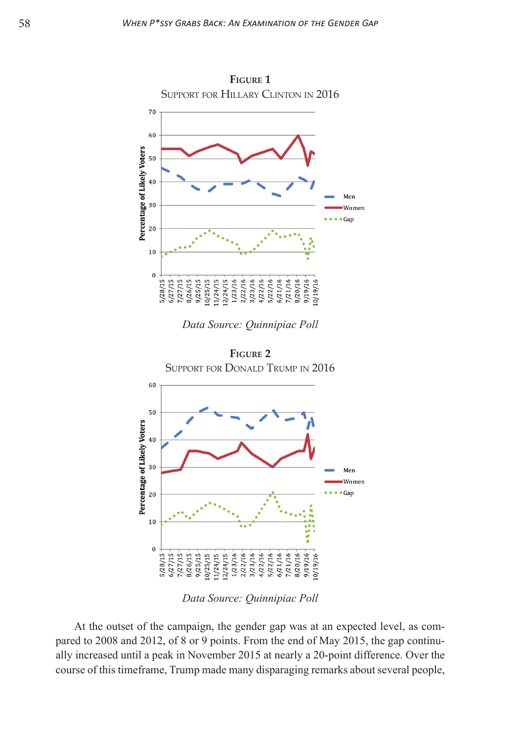

*Data Source: Quinnipiac Poll*



*Data Source: Quinnipiac Poll*

At the outset of the campaign, the gender gap was at an expected level, as compared to 2008 and 2012, of 8 or 9 points. From the end of May 2015, the gap continually increased until a peak in November 2015 at nearly a 20-point difference. Over the course of this timeframe, Trump made many disparaging remarks about several people,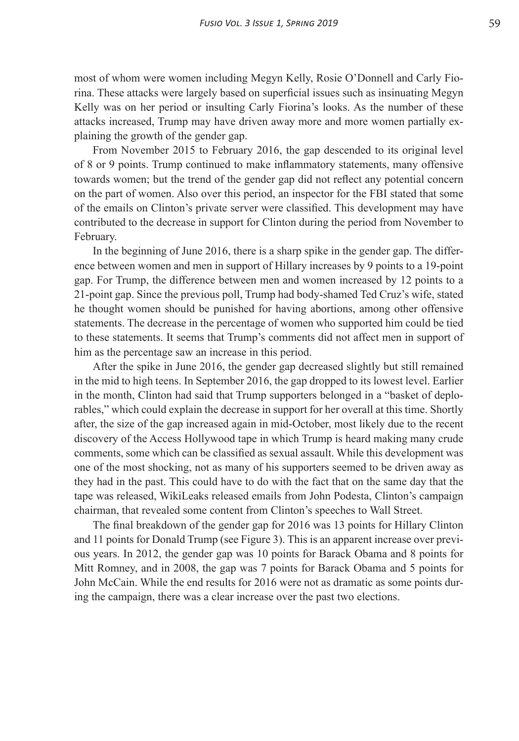most of whom were women including Megyn Kelly, Rosie O'Donnell and Carly Fiorina. These attacks were largely based on superficial issues such as insinuating Megyn Kelly was on her period or insulting Carly Fiorina's looks. As the number of these attacks increased, Trump may have driven away more and more women partially explaining the growth of the gender gap.

From November 2015 to February 2016, the gap descended to its original level of 8 or 9 points. Trump continued to make inflammatory statements, many offensive towards women; but the trend of the gender gap did not reflect any potential concern on the part of women. Also over this period, an inspector for the FBI stated that some of the emails on Clinton's private server were classified. This development may have contributed to the decrease in support for Clinton during the period from November to February.

In the beginning of June 2016, there is a sharp spike in the gender gap. The difference between women and men in support of Hillary increases by 9 points to a 19-point gap. For Trump, the difference between men and women increased by 12 points to a 21-point gap. Since the previous poll, Trump had body-shamed Ted Cruz's wife, stated he thought women should be punished for having abortions, among other offensive statements. The decrease in the percentage of women who supported him could be tied to these statements. It seems that Trump's comments did not affect men in support of him as the percentage saw an increase in this period.

After the spike in June 2016, the gender gap decreased slightly but still remained in the mid to high teens. In September 2016, the gap dropped to its lowest level. Earlier in the month, Clinton had said that Trump supporters belonged in a "basket of deplorables," which could explain the decrease in support for her overall at this time. Shortly after, the size of the gap increased again in mid-October, most likely due to the recent discovery of the Access Hollywood tape in which Trump is heard making many crude comments, some which can be classified as sexual assault. While this development was one of the most shocking, not as many of his supporters seemed to be driven away as they had in the past. This could have to do with the fact that on the same day that the tape was released, WikiLeaks released emails from John Podesta, Clinton's campaign chairman, that revealed some content from Clinton's speeches to Wall Street.

The final breakdown of the gender gap for 2016 was 13 points for Hillary Clinton and 11 points for Donald Trump (see Figure 3). This is an apparent increase over previous years. In 2012, the gender gap was 10 points for Barack Obama and 8 points for Mitt Romney, and in 2008, the gap was 7 points for Barack Obama and 5 points for John McCain. While the end results for 2016 were not as dramatic as some points during the campaign, there was a clear increase over the past two elections.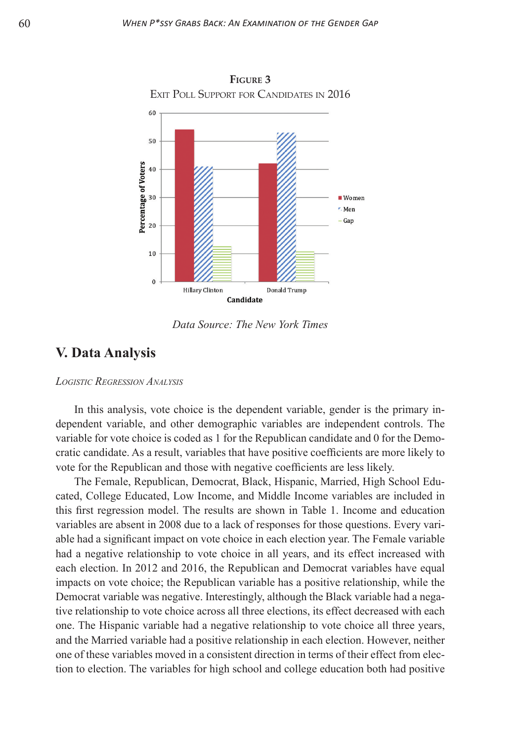

*Data Source: The New York Times*

## **V. Data Analysis**

#### *Logistic Regression Analysis*

In this analysis, vote choice is the dependent variable, gender is the primary independent variable, and other demographic variables are independent controls. The variable for vote choice is coded as 1 for the Republican candidate and 0 for the Democratic candidate. As a result, variables that have positive coefficients are more likely to vote for the Republican and those with negative coefficients are less likely.

The Female, Republican, Democrat, Black, Hispanic, Married, High School Educated, College Educated, Low Income, and Middle Income variables are included in this first regression model. The results are shown in Table 1. Income and education variables are absent in 2008 due to a lack of responses for those questions. Every variable had a significant impact on vote choice in each election year. The Female variable had a negative relationship to vote choice in all years, and its effect increased with each election. In 2012 and 2016, the Republican and Democrat variables have equal impacts on vote choice; the Republican variable has a positive relationship, while the Democrat variable was negative. Interestingly, although the Black variable had a negative relationship to vote choice across all three elections, its effect decreased with each one. The Hispanic variable had a negative relationship to vote choice all three years, and the Married variable had a positive relationship in each election. However, neither one of these variables moved in a consistent direction in terms of their effect from election to election. The variables for high school and college education both had positive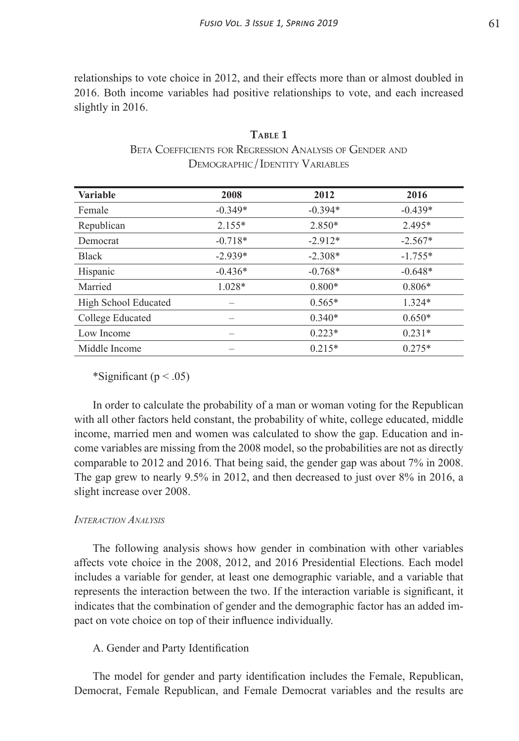relationships to vote choice in 2012, and their effects more than or almost doubled in 2016. Both income variables had positive relationships to vote, and each increased slightly in 2016.

| <b>Variable</b>      | 2008      | 2012      | 2016      |
|----------------------|-----------|-----------|-----------|
| Female               | $-0.349*$ | $-0.394*$ | $-0.439*$ |
| Republican           | $2.155*$  | $2.850*$  | $2.495*$  |
| Democrat             | $-0.718*$ | $-2.912*$ | $-2.567*$ |
| <b>Black</b>         | $-2.939*$ | $-2.308*$ | $-1.755*$ |
| Hispanic             | $-0.436*$ | $-0.768*$ | $-0.648*$ |
| Married              | 1.028*    | $0.800*$  | $0.806*$  |
| High School Educated |           | $0.565*$  | $1.324*$  |
| College Educated     |           | $0.340*$  | $0.650*$  |
| Low Income           |           | $0.223*$  | $0.231*$  |
| Middle Income        |           | $0.215*$  | $0.275*$  |

**Table 1** Beta Coefficients for Regression Analysis of Gender and Demographic/Identity Variables

\*Significant ( $p < .05$ )

In order to calculate the probability of a man or woman voting for the Republican with all other factors held constant, the probability of white, college educated, middle income, married men and women was calculated to show the gap. Education and income variables are missing from the 2008 model, so the probabilities are not as directly comparable to 2012 and 2016. That being said, the gender gap was about 7% in 2008. The gap grew to nearly 9.5% in 2012, and then decreased to just over 8% in 2016, a slight increase over 2008.

## *Interaction Analysis*

The following analysis shows how gender in combination with other variables affects vote choice in the 2008, 2012, and 2016 Presidential Elections. Each model includes a variable for gender, at least one demographic variable, and a variable that represents the interaction between the two. If the interaction variable is significant, it indicates that the combination of gender and the demographic factor has an added impact on vote choice on top of their influence individually.

A. Gender and Party Identification

The model for gender and party identification includes the Female, Republican, Democrat, Female Republican, and Female Democrat variables and the results are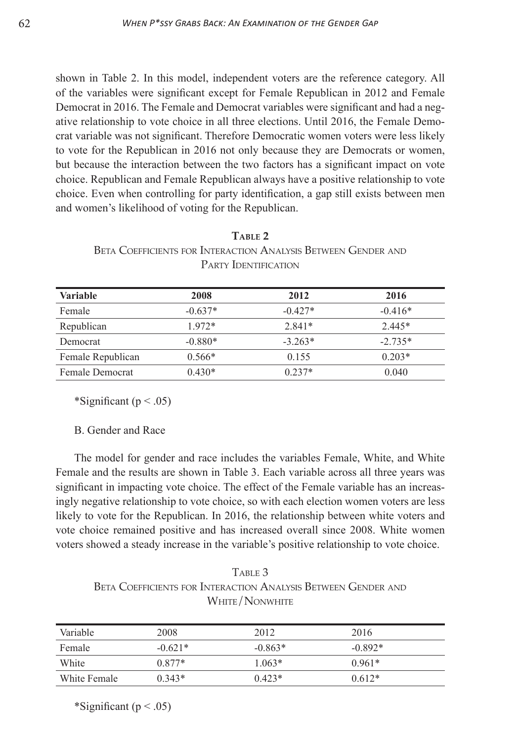shown in Table 2. In this model, independent voters are the reference category. All of the variables were significant except for Female Republican in 2012 and Female Democrat in 2016. The Female and Democrat variables were significant and had a negative relationship to vote choice in all three elections. Until 2016, the Female Democrat variable was not significant. Therefore Democratic women voters were less likely to vote for the Republican in 2016 not only because they are Democrats or women, but because the interaction between the two factors has a significant impact on vote choice. Republican and Female Republican always have a positive relationship to vote choice. Even when controlling for party identification, a gap still exists between men and women's likelihood of voting for the Republican.

| TARLE <sub>2</sub>                                                   |  |  |  |  |
|----------------------------------------------------------------------|--|--|--|--|
| <b>BETA COEFFICIENTS FOR INTERACTION ANALYSIS BETWEEN GENDER AND</b> |  |  |  |  |
| <b>PARTY IDENTIFICATION</b>                                          |  |  |  |  |

| <b>Variable</b>        | 2008      | 2012      | 2016      |
|------------------------|-----------|-----------|-----------|
| Female                 | $-0.637*$ | $-0.427*$ | $-0.416*$ |
| Republican             | $1972*$   | $2.841*$  | $2.445*$  |
| Democrat               | $-0.880*$ | $-3.263*$ | $-2.735*$ |
| Female Republican      | $0.566*$  | 0.155     | $0.203*$  |
| <b>Female Democrat</b> | $0.430*$  | $0.237*$  | 0.040     |

\*Significant ( $p < .05$ )

B. Gender and Race

The model for gender and race includes the variables Female, White, and White Female and the results are shown in Table 3. Each variable across all three years was significant in impacting vote choice. The effect of the Female variable has an increasingly negative relationship to vote choice, so with each election women voters are less likely to vote for the Republican. In 2016, the relationship between white voters and vote choice remained positive and has increased overall since 2008. White women voters showed a steady increase in the variable's positive relationship to vote choice.

TABLE 3 Beta Coefficients for Interaction Analysis Between Gender and White/Nonwhite

| Variable     | 2008      | 2012      | 2016      |
|--------------|-----------|-----------|-----------|
| Female       | $-0.621*$ | $-0.863*$ | $-0.892*$ |
| White        | $0.877*$  | $1.063*$  | $0.961*$  |
| White Female | $0.343*$  | $0.423*$  | $0.612*$  |

\*Significant ( $p < .05$ )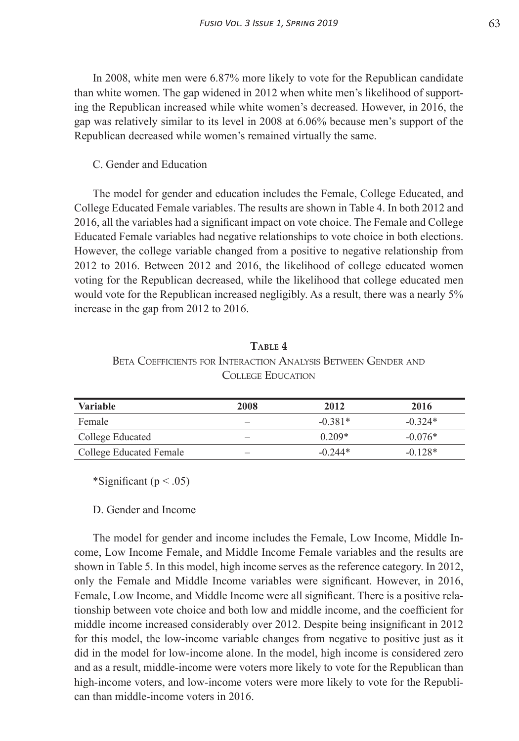In 2008, white men were 6.87% more likely to vote for the Republican candidate than white women. The gap widened in 2012 when white men's likelihood of supporting the Republican increased while white women's decreased. However, in 2016, the gap was relatively similar to its level in 2008 at 6.06% because men's support of the Republican decreased while women's remained virtually the same.

## C. Gender and Education

The model for gender and education includes the Female, College Educated, and College Educated Female variables. The results are shown in Table 4. In both 2012 and 2016, all the variables had a significant impact on vote choice. The Female and College Educated Female variables had negative relationships to vote choice in both elections. However, the college variable changed from a positive to negative relationship from 2012 to 2016. Between 2012 and 2016, the likelihood of college educated women voting for the Republican decreased, while the likelihood that college educated men would vote for the Republican increased negligibly. As a result, there was a nearly 5% increase in the gap from 2012 to 2016.

| TABLE 4                                                       |  |  |  |  |
|---------------------------------------------------------------|--|--|--|--|
| BETA COEFFICIENTS FOR INTERACTION ANALYSIS BETWEEN GENDER AND |  |  |  |  |
| <b>COLLEGE EDUCATION</b>                                      |  |  |  |  |

| <b>Variable</b>         | 2008 | 2012      | 2016      |
|-------------------------|------|-----------|-----------|
| Female                  |      | $-0.381*$ | $-0.324*$ |
| College Educated        |      | $0.209*$  | $-0.076*$ |
| College Educated Female |      | $-0.244*$ | $-0.128*$ |

\*Significant ( $p < .05$ )

### D. Gender and Income

The model for gender and income includes the Female, Low Income, Middle Income, Low Income Female, and Middle Income Female variables and the results are shown in Table 5. In this model, high income serves as the reference category. In 2012, only the Female and Middle Income variables were significant. However, in 2016, Female, Low Income, and Middle Income were all significant. There is a positive relationship between vote choice and both low and middle income, and the coefficient for middle income increased considerably over 2012. Despite being insignificant in 2012 for this model, the low-income variable changes from negative to positive just as it did in the model for low-income alone. In the model, high income is considered zero and as a result, middle-income were voters more likely to vote for the Republican than high-income voters, and low-income voters were more likely to vote for the Republican than middle-income voters in 2016.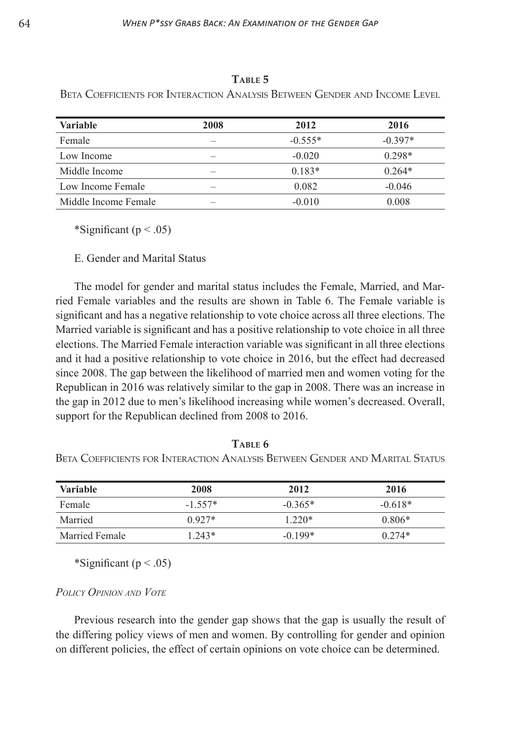| AIND UU V                                                                  |  |  |  |  |  |
|----------------------------------------------------------------------------|--|--|--|--|--|
| Beta Coefficients for Interaction Analysis Between Gender and Income Level |  |  |  |  |  |
|                                                                            |  |  |  |  |  |

**Table 5**

| <b>Variable</b>      | 2008 | 2012      | 2016      |
|----------------------|------|-----------|-----------|
| Female               |      | $-0.555*$ | $-0.397*$ |
| Low Income           |      | $-0.020$  | $0.298*$  |
| Middle Income        |      | $0.183*$  | $0.264*$  |
| Low Income Female    |      | 0.082     | $-0.046$  |
| Middle Income Female |      | $-0.010$  | 0.008     |

\*Significant ( $p < .05$ )

E. Gender and Marital Status

The model for gender and marital status includes the Female, Married, and Married Female variables and the results are shown in Table 6. The Female variable is significant and has a negative relationship to vote choice across all three elections. The Married variable is significant and has a positive relationship to vote choice in all three elections. The Married Female interaction variable was significant in all three elections and it had a positive relationship to vote choice in 2016, but the effect had decreased since 2008. The gap between the likelihood of married men and women voting for the Republican in 2016 was relatively similar to the gap in 2008. There was an increase in the gap in 2012 due to men's likelihood increasing while women's decreased. Overall, support for the Republican declined from 2008 to 2016.

**Table 6**

Beta Coefficients for Interaction Analysis Between Gender and Marital Status

| <b>Variable</b> | 2008      | 2012      | 2016      |
|-----------------|-----------|-----------|-----------|
| Female          | $-1.557*$ | $-0.365*$ | $-0.618*$ |
| Married         | $0.927*$  | $1220*$   | $0.806*$  |
| Married Female  | $1.243*$  | $-0.199*$ | $0.274*$  |

\*Significant ( $p < .05$ )

## *Policy Opinion and Vote*

Previous research into the gender gap shows that the gap is usually the result of the differing policy views of men and women. By controlling for gender and opinion on different policies, the effect of certain opinions on vote choice can be determined.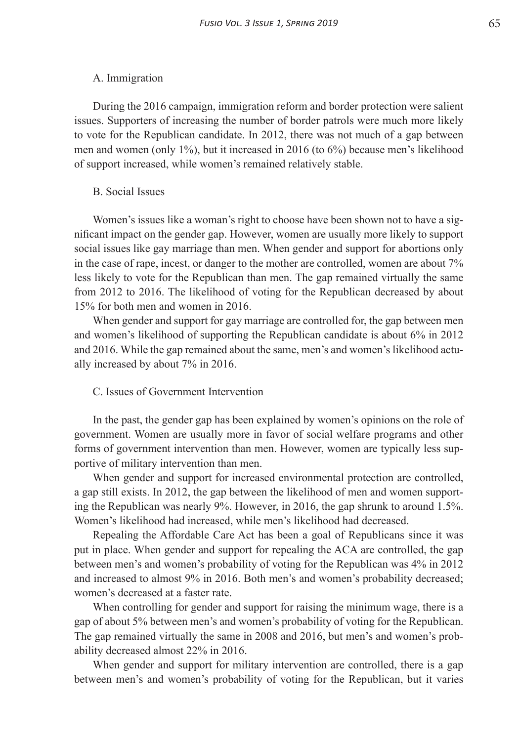#### A. Immigration

During the 2016 campaign, immigration reform and border protection were salient issues. Supporters of increasing the number of border patrols were much more likely to vote for the Republican candidate. In 2012, there was not much of a gap between men and women (only 1%), but it increased in 2016 (to 6%) because men's likelihood of support increased, while women's remained relatively stable.

#### B. Social Issues

Women's issues like a woman's right to choose have been shown not to have a significant impact on the gender gap. However, women are usually more likely to support social issues like gay marriage than men. When gender and support for abortions only in the case of rape, incest, or danger to the mother are controlled, women are about 7% less likely to vote for the Republican than men. The gap remained virtually the same from 2012 to 2016. The likelihood of voting for the Republican decreased by about 15% for both men and women in 2016.

When gender and support for gay marriage are controlled for, the gap between men and women's likelihood of supporting the Republican candidate is about 6% in 2012 and 2016. While the gap remained about the same, men's and women's likelihood actually increased by about 7% in 2016.

### C. Issues of Government Intervention

In the past, the gender gap has been explained by women's opinions on the role of government. Women are usually more in favor of social welfare programs and other forms of government intervention than men. However, women are typically less supportive of military intervention than men.

When gender and support for increased environmental protection are controlled, a gap still exists. In 2012, the gap between the likelihood of men and women supporting the Republican was nearly 9%. However, in 2016, the gap shrunk to around 1.5%. Women's likelihood had increased, while men's likelihood had decreased.

Repealing the Affordable Care Act has been a goal of Republicans since it was put in place. When gender and support for repealing the ACA are controlled, the gap between men's and women's probability of voting for the Republican was 4% in 2012 and increased to almost 9% in 2016. Both men's and women's probability decreased; women's decreased at a faster rate.

When controlling for gender and support for raising the minimum wage, there is a gap of about 5% between men's and women's probability of voting for the Republican. The gap remained virtually the same in 2008 and 2016, but men's and women's probability decreased almost 22% in 2016.

When gender and support for military intervention are controlled, there is a gap between men's and women's probability of voting for the Republican, but it varies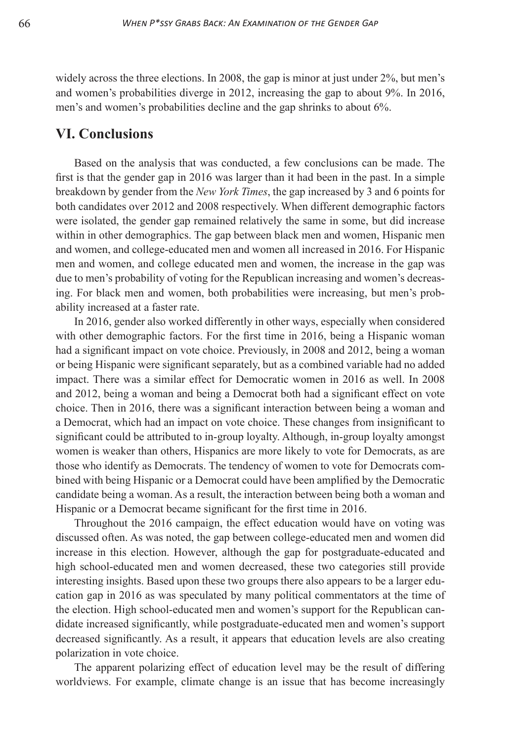widely across the three elections. In 2008, the gap is minor at just under 2%, but men's and women's probabilities diverge in 2012, increasing the gap to about 9%. In 2016, men's and women's probabilities decline and the gap shrinks to about 6%.

## **VI. Conclusions**

Based on the analysis that was conducted, a few conclusions can be made. The first is that the gender gap in 2016 was larger than it had been in the past. In a simple breakdown by gender from the *New York Times*, the gap increased by 3 and 6 points for both candidates over 2012 and 2008 respectively. When different demographic factors were isolated, the gender gap remained relatively the same in some, but did increase within in other demographics. The gap between black men and women, Hispanic men and women, and college-educated men and women all increased in 2016. For Hispanic men and women, and college educated men and women, the increase in the gap was due to men's probability of voting for the Republican increasing and women's decreasing. For black men and women, both probabilities were increasing, but men's probability increased at a faster rate.

In 2016, gender also worked differently in other ways, especially when considered with other demographic factors. For the first time in 2016, being a Hispanic woman had a significant impact on vote choice. Previously, in 2008 and 2012, being a woman or being Hispanic were significant separately, but as a combined variable had no added impact. There was a similar effect for Democratic women in 2016 as well. In 2008 and 2012, being a woman and being a Democrat both had a significant effect on vote choice. Then in 2016, there was a significant interaction between being a woman and a Democrat, which had an impact on vote choice. These changes from insignificant to significant could be attributed to in-group loyalty. Although, in-group loyalty amongst women is weaker than others, Hispanics are more likely to vote for Democrats, as are those who identify as Democrats. The tendency of women to vote for Democrats combined with being Hispanic or a Democrat could have been amplified by the Democratic candidate being a woman. As a result, the interaction between being both a woman and Hispanic or a Democrat became significant for the first time in 2016.

Throughout the 2016 campaign, the effect education would have on voting was discussed often. As was noted, the gap between college-educated men and women did increase in this election. However, although the gap for postgraduate-educated and high school-educated men and women decreased, these two categories still provide interesting insights. Based upon these two groups there also appears to be a larger education gap in 2016 as was speculated by many political commentators at the time of the election. High school-educated men and women's support for the Republican candidate increased significantly, while postgraduate-educated men and women's support decreased significantly. As a result, it appears that education levels are also creating polarization in vote choice.

The apparent polarizing effect of education level may be the result of differing worldviews. For example, climate change is an issue that has become increasingly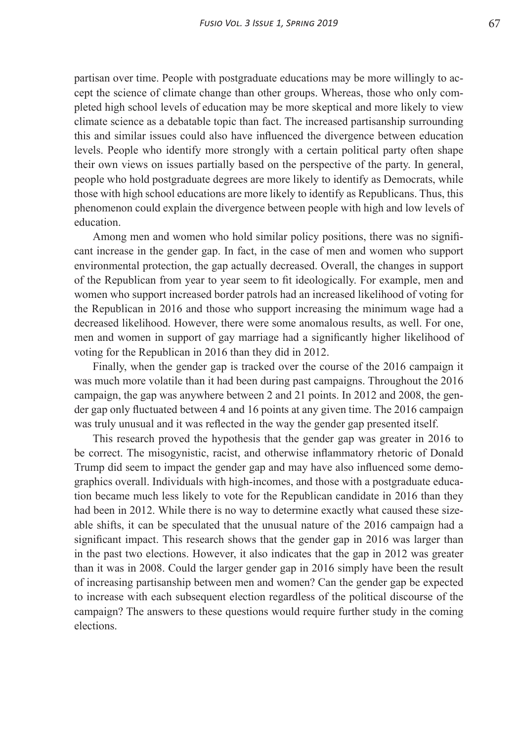partisan over time. People with postgraduate educations may be more willingly to accept the science of climate change than other groups. Whereas, those who only completed high school levels of education may be more skeptical and more likely to view climate science as a debatable topic than fact. The increased partisanship surrounding this and similar issues could also have influenced the divergence between education levels. People who identify more strongly with a certain political party often shape their own views on issues partially based on the perspective of the party. In general, people who hold postgraduate degrees are more likely to identify as Democrats, while those with high school educations are more likely to identify as Republicans. Thus, this phenomenon could explain the divergence between people with high and low levels of education.

Among men and women who hold similar policy positions, there was no significant increase in the gender gap. In fact, in the case of men and women who support environmental protection, the gap actually decreased. Overall, the changes in support of the Republican from year to year seem to fit ideologically. For example, men and women who support increased border patrols had an increased likelihood of voting for the Republican in 2016 and those who support increasing the minimum wage had a decreased likelihood. However, there were some anomalous results, as well. For one, men and women in support of gay marriage had a significantly higher likelihood of voting for the Republican in 2016 than they did in 2012.

Finally, when the gender gap is tracked over the course of the 2016 campaign it was much more volatile than it had been during past campaigns. Throughout the 2016 campaign, the gap was anywhere between 2 and 21 points. In 2012 and 2008, the gender gap only fluctuated between 4 and 16 points at any given time. The 2016 campaign was truly unusual and it was reflected in the way the gender gap presented itself.

This research proved the hypothesis that the gender gap was greater in 2016 to be correct. The misogynistic, racist, and otherwise inflammatory rhetoric of Donald Trump did seem to impact the gender gap and may have also influenced some demographics overall. Individuals with high-incomes, and those with a postgraduate education became much less likely to vote for the Republican candidate in 2016 than they had been in 2012. While there is no way to determine exactly what caused these sizeable shifts, it can be speculated that the unusual nature of the 2016 campaign had a significant impact. This research shows that the gender gap in 2016 was larger than in the past two elections. However, it also indicates that the gap in 2012 was greater than it was in 2008. Could the larger gender gap in 2016 simply have been the result of increasing partisanship between men and women? Can the gender gap be expected to increase with each subsequent election regardless of the political discourse of the campaign? The answers to these questions would require further study in the coming elections.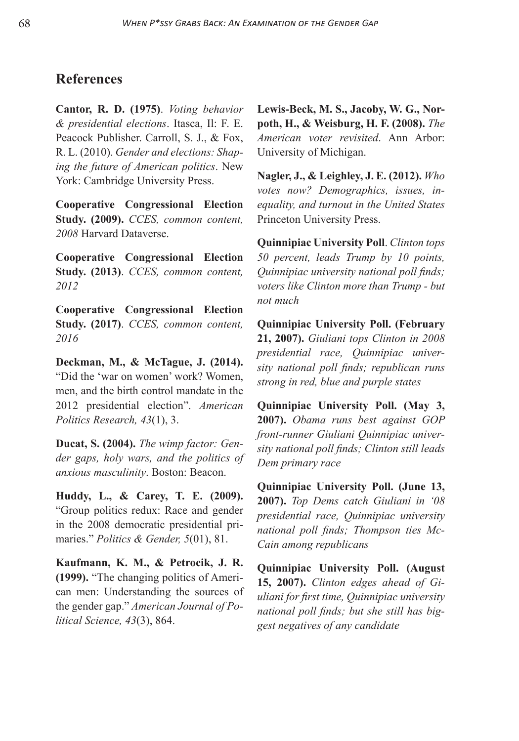# **References**

**Cantor, R. D. (1975)**. *Voting behavior & presidential elections*. Itasca, Il: F. E. Peacock Publisher. Carroll, S. J., & Fox, R. L. (2010). *Gender and elections: Shaping the future of American politics*. New York: Cambridge University Press.

**Cooperative Congressional Election Study. (2009).** *CCES, common content, 2008* Harvard Dataverse.

**Cooperative Congressional Election Study. (2013)**. *CCES, common content, 2012*

**Cooperative Congressional Election Study. (2017)**. *CCES, common content, 2016*

**Deckman, M., & McTague, J. (2014).** "Did the 'war on women' work? Women, men, and the birth control mandate in the 2012 presidential election". *American Politics Research, 43*(1), 3.

**Ducat, S. (2004).** *The wimp factor: Gender gaps, holy wars, and the politics of anxious masculinity*. Boston: Beacon.

**Huddy, L., & Carey, T. E. (2009).** "Group politics redux: Race and gender in the 2008 democratic presidential primaries." *Politics & Gender, 5*(01), 81.

**Kaufmann, K. M., & Petrocik, J. R. (1999).** "The changing politics of American men: Understanding the sources of the gender gap." *American Journal of Political Science, 43*(3), 864.

**Lewis-Beck, M. S., Jacoby, W. G., Norpoth, H., & Weisburg, H. F. (2008).** *The American voter revisited*. Ann Arbor: University of Michigan.

**Nagler, J., & Leighley, J. E. (2012).** *Who votes now? Demographics, issues, inequality, and turnout in the United States* Princeton University Press.

**Quinnipiac University Poll**. *Clinton tops 50 percent, leads Trump by 10 points, Quinnipiac university national poll finds; voters like Clinton more than Trump - but not much*

**Quinnipiac University Poll. (February 21, 2007).** *Giuliani tops Clinton in 2008 presidential race, Quinnipiac university national poll finds; republican runs strong in red, blue and purple states*

**Quinnipiac University Poll. (May 3, 2007).** *Obama runs best against GOP front-runner Giuliani Quinnipiac university national poll finds; Clinton still leads Dem primary race*

**Quinnipiac University Poll. (June 13, 2007).** *Top Dems catch Giuliani in '08 presidential race, Quinnipiac university national poll finds; Thompson ties Mc-Cain among republicans*

**Quinnipiac University Poll. (August 15, 2007).** *Clinton edges ahead of Giuliani for first time, Quinnipiac university national poll finds; but she still has biggest negatives of any candidate*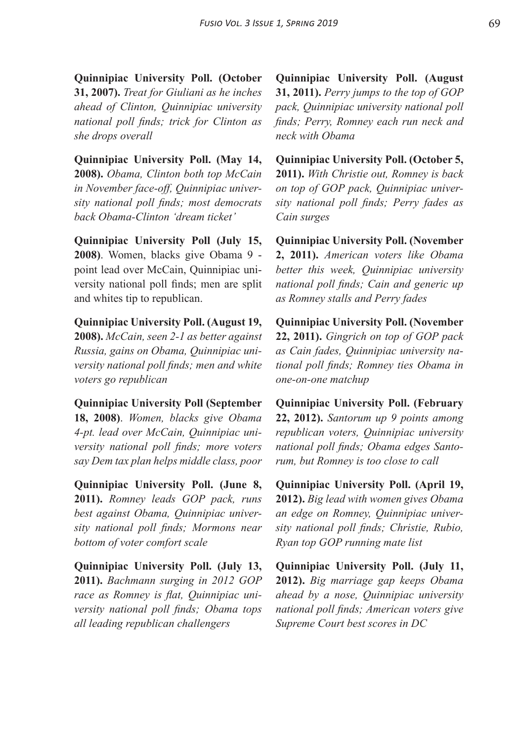**Quinnipiac University Poll. (October 31, 2007).** *Treat for Giuliani as he inches ahead of Clinton, Quinnipiac university national poll finds; trick for Clinton as she drops overall*

**Quinnipiac University Poll. (May 14, 2008).** *Obama, Clinton both top McCain in November face-off, Quinnipiac university national poll finds; most democrats back Obama-Clinton 'dream ticket'*

**Quinnipiac University Poll (July 15, 2008)**. Women, blacks give Obama 9 point lead over McCain, Quinnipiac university national poll finds; men are split and whites tip to republican.

**Quinnipiac University Poll. (August 19, 2008).** *McCain, seen 2-1 as better against Russia, gains on Obama, Quinnipiac university national poll finds; men and white voters go republican*

**Quinnipiac University Poll (September 18, 2008)**. *Women, blacks give Obama 4-pt. lead over McCain, Quinnipiac university national poll finds; more voters say Dem tax plan helps middle class, poor*

**Quinnipiac University Poll. (June 8, 2011).** *Romney leads GOP pack, runs best against Obama, Quinnipiac university national poll finds; Mormons near bottom of voter comfort scale*

**Quinnipiac University Poll. (July 13, 2011).** *Bachmann surging in 2012 GOP race as Romney is flat, Quinnipiac university national poll finds; Obama tops all leading republican challengers*

**Quinnipiac University Poll. (August 31, 2011).** *Perry jumps to the top of GOP pack, Quinnipiac university national poll finds; Perry, Romney each run neck and neck with Obama*

**Quinnipiac University Poll. (October 5, 2011).** *With Christie out, Romney is back on top of GOP pack, Quinnipiac university national poll finds; Perry fades as Cain surges*

**Quinnipiac University Poll. (November 2, 2011).** *American voters like Obama better this week, Quinnipiac university national poll finds; Cain and generic up as Romney stalls and Perry fades*

**Quinnipiac University Poll. (November 22, 2011).** *Gingrich on top of GOP pack as Cain fades, Quinnipiac university national poll finds; Romney ties Obama in one-on-one matchup*

**Quinnipiac University Poll. (February 22, 2012).** *Santorum up 9 points among republican voters, Quinnipiac university national poll finds; Obama edges Santorum, but Romney is too close to call*

**Quinnipiac University Poll. (April 19, 2012).** *Big lead with women gives Obama an edge on Romney, Quinnipiac university national poll finds; Christie, Rubio, Ryan top GOP running mate list*

**Quinnipiac University Poll. (July 11, 2012).** *Big marriage gap keeps Obama ahead by a nose, Quinnipiac university national poll finds; American voters give Supreme Court best scores in DC*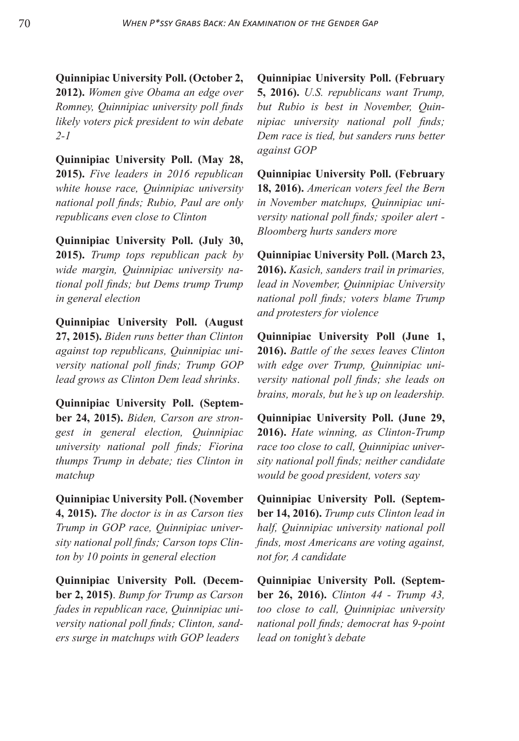**Quinnipiac University Poll. (October 2, 2012).** *Women give Obama an edge over Romney, Quinnipiac university poll finds likely voters pick president to win debate 2-1*

**Quinnipiac University Poll. (May 28, 2015).** *Five leaders in 2016 republican white house race, Quinnipiac university national poll finds; Rubio, Paul are only republicans even close to Clinton*

**Quinnipiac University Poll. (July 30, 2015).** *Trump tops republican pack by wide margin, Quinnipiac university national poll finds; but Dems trump Trump in general election*

**Quinnipiac University Poll. (August 27, 2015).** *Biden runs better than Clinton against top republicans, Quinnipiac university national poll finds; Trump GOP lead grows as Clinton Dem lead shrinks*.

**Quinnipiac University Poll. (September 24, 2015).** *Biden, Carson are strongest in general election, Quinnipiac university national poll finds; Fiorina thumps Trump in debate; ties Clinton in matchup*

**Quinnipiac University Poll. (November 4, 2015).** *The doctor is in as Carson ties Trump in GOP race, Quinnipiac university national poll finds; Carson tops Clinton by 10 points in general election*

**Quinnipiac University Poll. (December 2, 2015)**. *Bump for Trump as Carson fades in republican race, Quinnipiac university national poll finds; Clinton, sanders surge in matchups with GOP leaders*

**Quinnipiac University Poll. (February 5, 2016).** *U.S. republicans want Trump, but Rubio is best in November, Quinnipiac university national poll finds; Dem race is tied, but sanders runs better against GOP*

**Quinnipiac University Poll. (February 18, 2016).** *American voters feel the Bern in November matchups, Quinnipiac university national poll finds; spoiler alert - Bloomberg hurts sanders more*

**Quinnipiac University Poll. (March 23, 2016).** *Kasich, sanders trail in primaries, lead in November, Quinnipiac University national poll finds; voters blame Trump and protesters for violence*

**Quinnipiac University Poll (June 1, 2016).** *Battle of the sexes leaves Clinton with edge over Trump, Quinnipiac university national poll finds; she leads on brains, morals, but he's up on leadership.*

**Quinnipiac University Poll. (June 29, 2016).** *Hate winning, as Clinton-Trump race too close to call, Quinnipiac university national poll finds; neither candidate would be good president, voters say*

**Quinnipiac University Poll. (September 14, 2016).** *Trump cuts Clinton lead in half, Quinnipiac university national poll finds, most Americans are voting against, not for, A candidate*

**Quinnipiac University Poll. (September 26, 2016).** *Clinton 44 - Trump 43, too close to call, Quinnipiac university national poll finds; democrat has 9-point lead on tonight's debate*